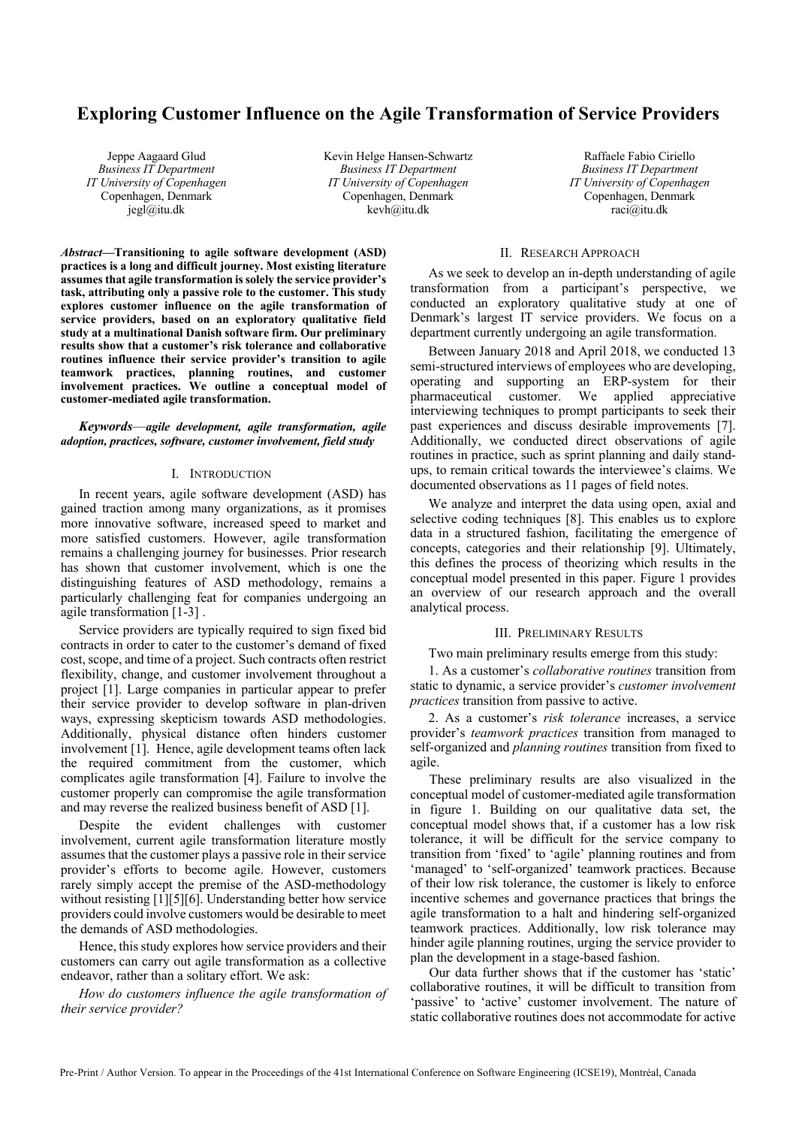# **Exploring Customer Influence on the Agile Transformation of Service Providers**

Jeppe Aagaard Glud *Business IT Department IT University of Copenhagen* Copenhagen, Denmark jegl@itu.dk

Kevin Helge Hansen-Schwartz *Business IT Department IT University of Copenhagen* Copenhagen, Denmark kevh@itu.dk

Raffaele Fabio Ciriello *Business IT Department IT University of Copenhagen* Copenhagen, Denmark raci@itu.dk

### *Abstract***—Transitioning to agile software development (ASD) practices is a long and difficult journey. Most existing literature assumes that agile transformation is solely the service provider's task, attributing only a passive role to the customer. This study explores customer influence on the agile transformation of service providers, based on an exploratory qualitative field study at a multinational Danish software firm. Our preliminary results show that a customer's risk tolerance and collaborative routines influence their service provider's transition to agile teamwork practices, planning routines, and customer involvement practices. We outline a conceptual model of customer-mediated agile transformation.**

## *Keywords*—*agile development, agile transformation, agile adoption, practices, software, customer involvement, field study*

# I. INTRODUCTION

In recent years, agile software development (ASD) has gained traction among many organizations, as it promises more innovative software, increased speed to market and more satisfied customers. However, agile transformation remains a challenging journey for businesses. Prior research has shown that customer involvement, which is one the distinguishing features of ASD methodology, remains a particularly challenging feat for companies undergoing an agile transformation [1-3] .

Service providers are typically required to sign fixed bid contracts in order to cater to the customer's demand of fixed cost, scope, and time of a project. Such contracts often restrict flexibility, change, and customer involvement throughout a project [1]. Large companies in particular appear to prefer their service provider to develop software in plan-driven ways, expressing skepticism towards ASD methodologies. Additionally, physical distance often hinders customer involvement [1]. Hence, agile development teams often lack the required commitment from the customer, which complicates agile transformation [4]. Failure to involve the customer properly can compromise the agile transformation and may reverse the realized business benefit of ASD [1].

Despite the evident challenges with customer involvement, current agile transformation literature mostly assumes that the customer plays a passive role in their service provider's efforts to become agile. However, customers rarely simply accept the premise of the ASD-methodology without resisting [1][5][6]. Understanding better how service providers could involve customers would be desirable to meet the demands of ASD methodologies.

Hence, this study explores how service providers and their customers can carry out agile transformation as a collective endeavor, rather than a solitary effort. We ask:

*How do customers influence the agile transformation of their service provider?*

## II. RESEARCH APPROACH

As we seek to develop an in-depth understanding of agile transformation from a participant's perspective, we conducted an exploratory qualitative study at one of Denmark's largest IT service providers. We focus on a department currently undergoing an agile transformation.

Between January 2018 and April 2018, we conducted 13 semi-structured interviews of employees who are developing, operating and supporting an ERP-system for their pharmaceutical customer. We applied appreciative interviewing techniques to prompt participants to seek their past experiences and discuss desirable improvements [7]. Additionally, we conducted direct observations of agile routines in practice, such as sprint planning and daily standups, to remain critical towards the interviewee's claims. We documented observations as 11 pages of field notes.

We analyze and interpret the data using open, axial and selective coding techniques [8]. This enables us to explore data in a structured fashion, facilitating the emergence of concepts, categories and their relationship [9]. Ultimately, this defines the process of theorizing which results in the conceptual model presented in this paper. Figure 1 provides an overview of our research approach and the overall analytical process.

#### III. PRELIMINARY RESULTS

## Two main preliminary results emerge from this study:

1. As a customer's *collaborative routines* transition from static to dynamic, a service provider's *customer involvement practices* transition from passive to active.

2. As a customer's *risk tolerance* increases, a service provider's *teamwork practices* transition from managed to self-organized and *planning routines* transition from fixed to agile.

These preliminary results are also visualized in the conceptual model of customer-mediated agile transformation in figure 1. Building on our qualitative data set, the conceptual model shows that, if a customer has a low risk tolerance, it will be difficult for the service company to transition from 'fixed' to 'agile' planning routines and from 'managed' to 'self-organized' teamwork practices. Because of their low risk tolerance, the customer is likely to enforce incentive schemes and governance practices that brings the agile transformation to a halt and hindering self-organized teamwork practices. Additionally, low risk tolerance may hinder agile planning routines, urging the service provider to plan the development in a stage-based fashion.

Our data further shows that if the customer has 'static' collaborative routines, it will be difficult to transition from 'passive' to 'active' customer involvement. The nature of static collaborative routines does not accommodate for active